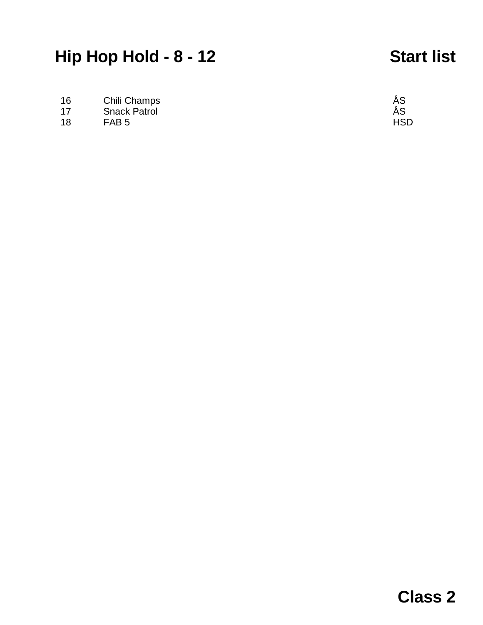# **Hip Hop Hold - 8 - 12 Start list**

16 Chili Champs **AS** 

- 17 Snack Patrol ÅS
- 18 FAB 5 HSD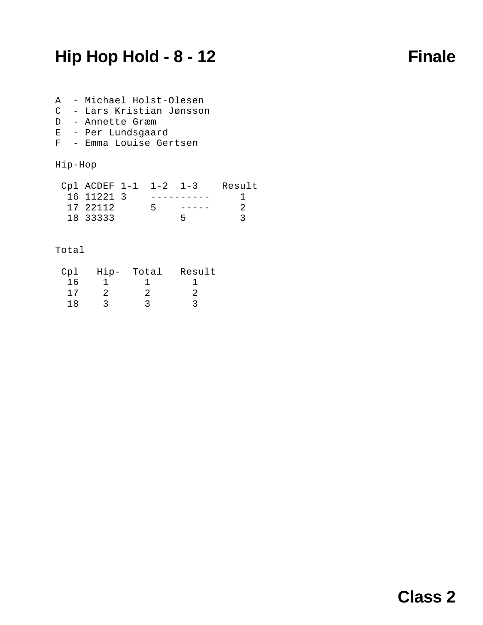## **Hip Hop Hold - 8 - 12 Finale**

- A Michael Holst-Olesen C - Lars Kristian Jønsson D - Annette Græm E - Per Lundsgaard
- F Emma Louise Gertsen

### Hip-Hop

| Cpl ACDEF 1-1 1-2 1-3 |    | Result |
|-----------------------|----|--------|
| 16 11221 3            |    |        |
| 17 22112              | ь. |        |
| 18 33333              |    |        |

### Total

| Cp1 | $H$ ip- | Total | Result |
|-----|---------|-------|--------|
| 16  |         |       |        |
| 17  |         |       |        |
| 1 R |         |       |        |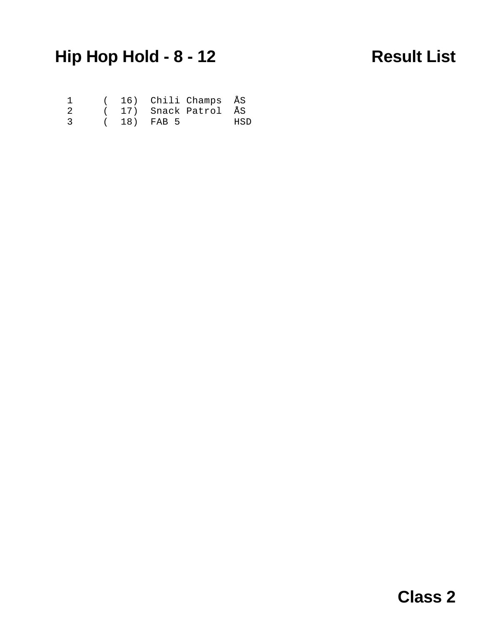# **Hip Hop Hold - 8 - 12 Result List**

|               |  | ( 16) Chili Champs ÅS |     |
|---------------|--|-----------------------|-----|
| -2.           |  | ( 17) Snack Patrol ÅS |     |
| $\mathcal{R}$ |  | (18) FAB 5            | HSD |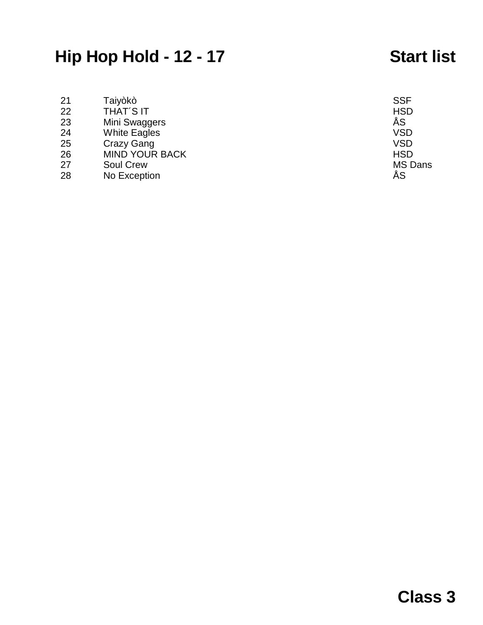# **Hip Hop Hold - 12 - 17 Start list**

| 21 | Taiyòkò               | <b>SSF</b>     |
|----|-----------------------|----------------|
|    |                       |                |
| 22 | <b>THAT'S IT</b>      | <b>HSD</b>     |
| 23 | Mini Swaggers         | ÅS             |
| 24 | <b>White Eagles</b>   | <b>VSD</b>     |
| 25 | Crazy Gang            | <b>VSD</b>     |
| 26 | <b>MIND YOUR BACK</b> | <b>HSD</b>     |
| 27 | <b>Soul Crew</b>      | <b>MS Dans</b> |
| 28 | No Exception          | ÅS             |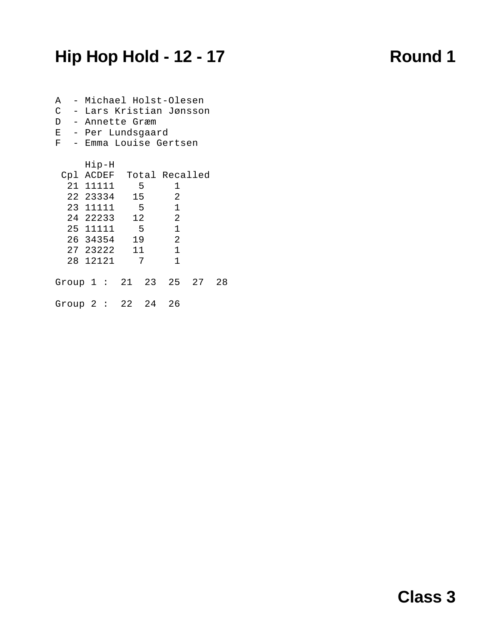# **Hip Hop Hold - 12 - 17 Round 1**

| A<br>C<br>F |          | D - Annette Græm<br>E - Per Lundsgaard |   | - Michael Holst-Olesen<br>- Lars Kristian Jønsson<br>- Emma Louise Gertsen |    |
|-------------|----------|----------------------------------------|---|----------------------------------------------------------------------------|----|
|             | $H$ ip-H |                                        |   |                                                                            |    |
|             |          |                                        |   | Cpl ACDEF Total Recalled                                                   |    |
|             |          | 21 11111                               | 5 | 1                                                                          |    |
|             |          | 22 23334 15                            |   | $\overline{2}$                                                             |    |
|             |          | 23 11111                               | 5 | $\overline{1}$                                                             |    |
|             |          | 24 22233 12                            |   | $\overline{2}$                                                             |    |
|             |          | 25 11111 5                             |   | $\overline{1}$                                                             |    |
|             |          | 26 34354 19                            |   | $\overline{\phantom{a}}$ 2                                                 |    |
|             |          | 27 23222 11                            |   | $\overline{1}$                                                             |    |
|             |          | 28 12121 7                             |   | $\mathbf 1$                                                                |    |
|             |          |                                        |   | Group $1:21:23:25:27$                                                      | 28 |
|             |          | Group 2: 22 24 26                      |   |                                                                            |    |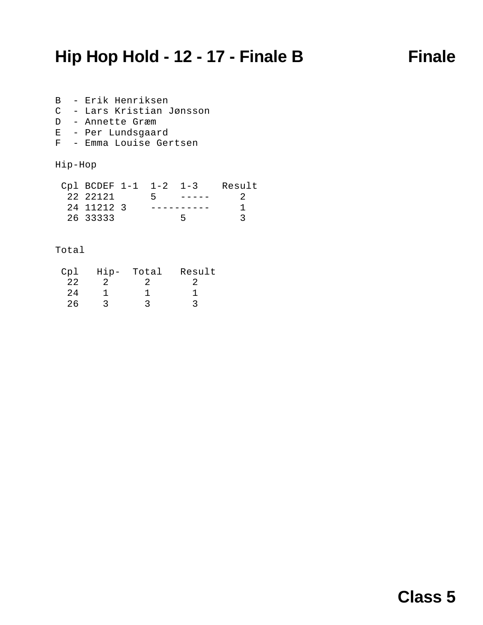## **Hip Hop Hold - 12 - 17 - Finale B Finale**

B - Erik Henriksen C - Lars Kristian Jønsson D - Annette Græm E - Per Lundsgaard

F - Emma Louise Gertsen

### Hip-Hop

| Cpl BCDEF 1-1 1-2 1-3 |      | Result |
|-----------------------|------|--------|
| 22 22121              | $-5$ |        |
| 24 11212 3            |      |        |
| 26 33333              |      |        |

### Total

| Cpl  | $Hip-$ | Total | Result |
|------|--------|-------|--------|
| 2.2. |        |       |        |
| 2.4  |        |       |        |
| 26   |        |       |        |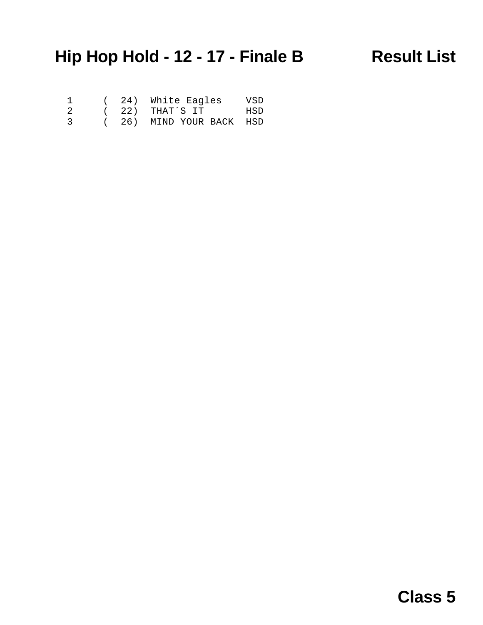# **Hip Hop Hold - 12 - 17 - Finale B Result List**

| $\mathbf{1}$   |  | (24) White Eagles       | VSD |
|----------------|--|-------------------------|-----|
| -2             |  | (22) THAT'S IT          | HSD |
| $\overline{3}$ |  | (26) MIND YOUR BACK HSD |     |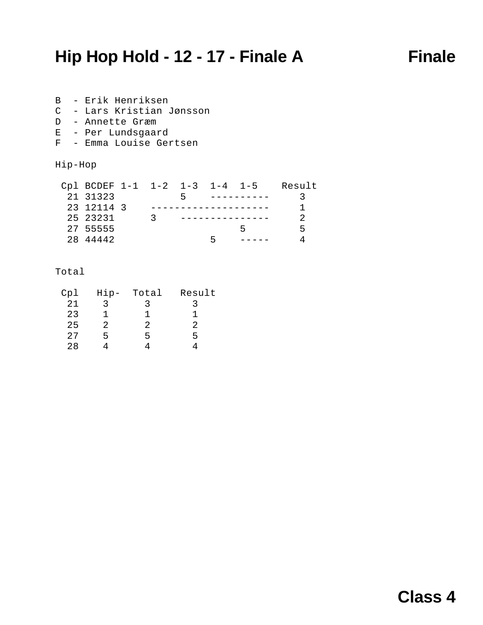## **Hip Hop Hold - 12 - 17 - Finale A Finale**

B - Erik Henriksen C - Lars Kristian Jønsson D - Annette Græm

- E Per Lundsgaard
- F Emma Louise Gertsen

Hip-Hop

| Cpl BCDEF 1-1 1-2 1-3 1-4 1-5 |    |  | Result |
|-------------------------------|----|--|--------|
| 21 31323                      |    |  |        |
| 23 12114 3                    |    |  |        |
| 25 23231                      | -2 |  |        |
| 27 55555                      |    |  | 5      |
| 28 44442                      |    |  |        |

### Total

| Cp1 | $Hip-$ | Total | Result |
|-----|--------|-------|--------|
| 21  | ર      |       |        |
| 23  |        | ı     |        |
| 25  | 2      | 2     | 2      |
| 27  | 5      | ц     | 5      |
| 28  |        |       |        |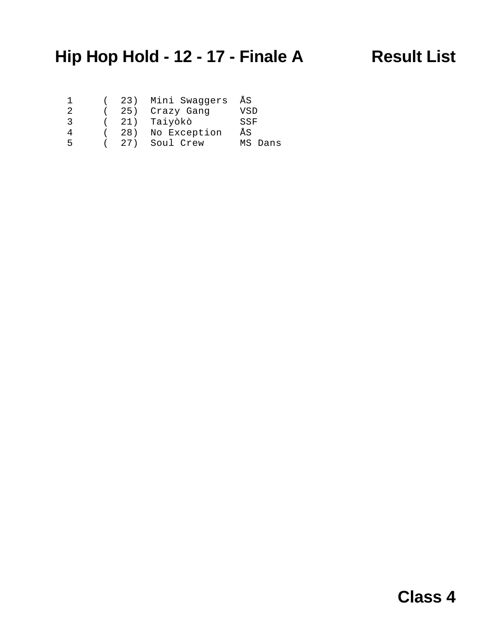# **Hip Hop Hold - 12 - 17 - Finale A Result List**

|               |  | (23) Mini Swaqqers ÅS |         |
|---------------|--|-----------------------|---------|
| 2.            |  | ( 25) Crazy Gang      | VSD     |
| $\mathcal{S}$ |  | ( 21) Taiyòkò         | SSF     |
| 4             |  | (28) No Exception     | ÅS      |
| 5             |  | ( 27) Soul Crew       | MS Dans |
|               |  |                       |         |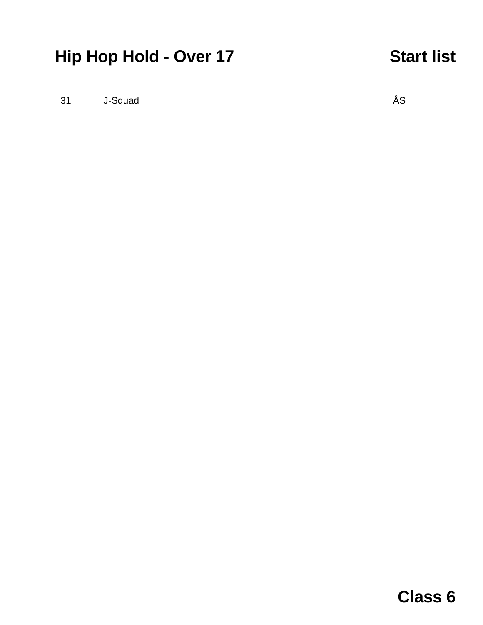# **Hip Hop Hold - Over 17 Start list**

31 J-Squad ÅS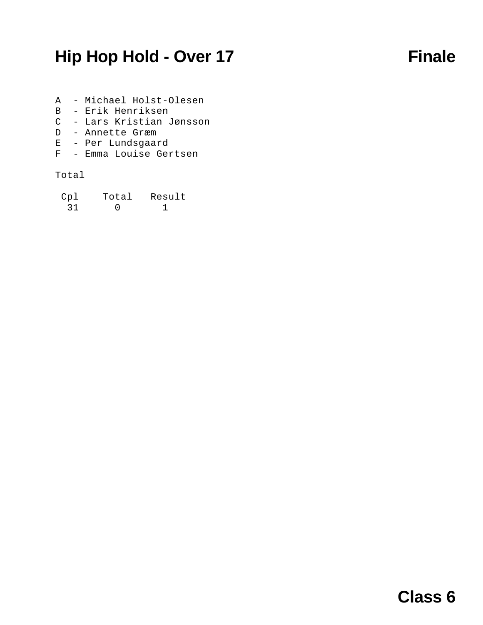## **Hip Hop Hold - Over 17 Finale**

- A Michael Holst-Olesen
- B Erik Henriksen
- C Lars Kristian Jønsson
- D Annette Græm
- E Per Lundsgaard
- F Emma Louise Gertsen

### Total

| Cp1 | Total | Result |
|-----|-------|--------|
| 31  |       |        |

## **Class 6**